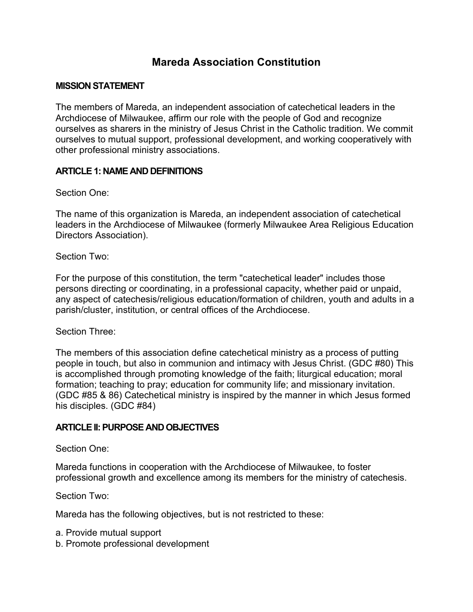# **Mareda Association Constitution**

### **MISSION STATEMENT**

The members of Mareda, an independent association of catechetical leaders in the Archdiocese of Milwaukee, affirm our role with the people of God and recognize ourselves as sharers in the ministry of Jesus Christ in the Catholic tradition. We commit ourselves to mutual support, professional development, and working cooperatively with other professional ministry associations.

### **ARTICLE 1: NAME AND DEFINITIONS**

Section One:

The name of this organization is Mareda, an independent association of catechetical leaders in the Archdiocese of Milwaukee (formerly Milwaukee Area Religious Education Directors Association).

Section Two:

For the purpose of this constitution, the term "catechetical leader" includes those persons directing or coordinating, in a professional capacity, whether paid or unpaid, any aspect of catechesis/religious education/formation of children, youth and adults in a parish/cluster, institution, or central offices of the Archdiocese.

Section Three:

The members of this association define catechetical ministry as a process of putting people in touch, but also in communion and intimacy with Jesus Christ. (GDC #80) This is accomplished through promoting knowledge of the faith; liturgical education; moral formation; teaching to pray; education for community life; and missionary invitation. (GDC #85 & 86) Catechetical ministry is inspired by the manner in which Jesus formed his disciples. (GDC #84)

#### **ARTICLE II: PURPOSE AND OBJECTIVES**

Section One:

Mareda functions in cooperation with the Archdiocese of Milwaukee, to foster professional growth and excellence among its members for the ministry of catechesis.

Section Two:

Mareda has the following objectives, but is not restricted to these:

- a. Provide mutual support
- b. Promote professional development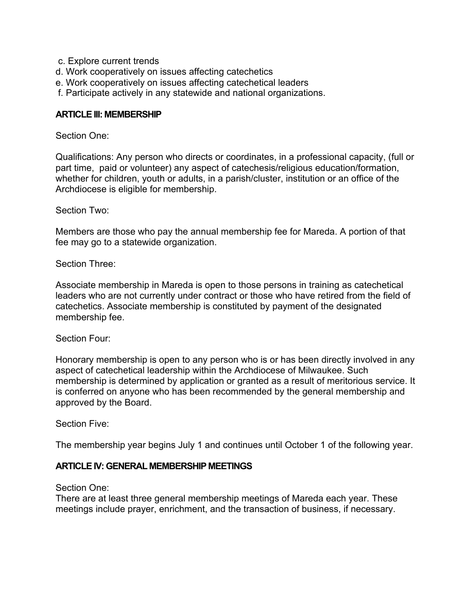- c. Explore current trends
- d. Work cooperatively on issues affecting catechetics
- e. Work cooperatively on issues affecting catechetical leaders
- f. Participate actively in any statewide and national organizations.

#### **ARTICLE III: MEMBERSHIP**

#### Section One:

Qualifications: Any person who directs or coordinates, in a professional capacity, (full or part time, paid or volunteer) any aspect of catechesis/religious education/formation, whether for children, youth or adults, in a parish/cluster, institution or an office of the Archdiocese is eligible for membership.

Section Two:

Members are those who pay the annual membership fee for Mareda. A portion of that fee may go to a statewide organization.

Section Three:

Associate membership in Mareda is open to those persons in training as catechetical leaders who are not currently under contract or those who have retired from the field of catechetics. Associate membership is constituted by payment of the designated membership fee.

Section Four:

Honorary membership is open to any person who is or has been directly involved in any aspect of catechetical leadership within the Archdiocese of Milwaukee. Such membership is determined by application or granted as a result of meritorious service. It is conferred on anyone who has been recommended by the general membership and approved by the Board.

Section Five:

The membership year begins July 1 and continues until October 1 of the following year.

### **ARTICLE IV: GENERAL MEMBERSHIP MEETINGS**

Section One:

There are at least three general membership meetings of Mareda each year. These meetings include prayer, enrichment, and the transaction of business, if necessary.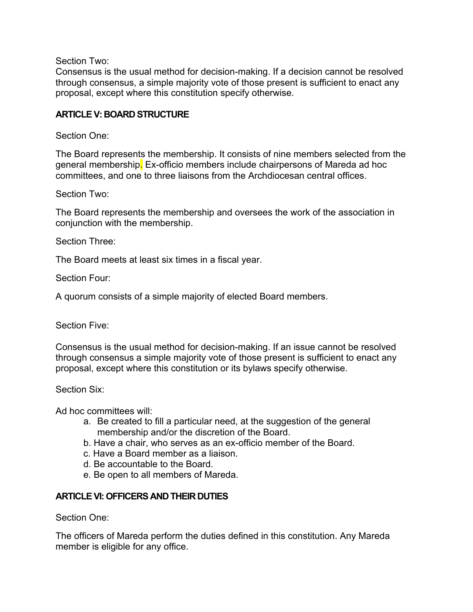Section Two:

Consensus is the usual method for decision-making. If a decision cannot be resolved through consensus, a simple majority vote of those present is sufficient to enact any proposal, except where this constitution specify otherwise.

### **ARTICLE V: BOARD STRUCTURE**

#### Section One:

The Board represents the membership. It consists of nine members selected from the general membership. Ex-officio members include chairpersons of Mareda ad hoc committees, and one to three liaisons from the Archdiocesan central offices.

Section Two:

The Board represents the membership and oversees the work of the association in conjunction with the membership.

Section Three:

The Board meets at least six times in a fiscal year.

Section Four:

A quorum consists of a simple majority of elected Board members.

Section Five:

Consensus is the usual method for decision-making. If an issue cannot be resolved through consensus a simple majority vote of those present is sufficient to enact any proposal, except where this constitution or its bylaws specify otherwise.

Section Six:

Ad hoc committees will:

- a. Be created to fill a particular need, at the suggestion of the general membership and/or the discretion of the Board.
- b. Have a chair, who serves as an ex-officio member of the Board.
- c. Have a Board member as a liaison.
- d. Be accountable to the Board.
- e. Be open to all members of Mareda.

### **ARTICLE VI: OFFICERS AND THEIR DUTIES**

Section One:

The officers of Mareda perform the duties defined in this constitution. Any Mareda member is eligible for any office.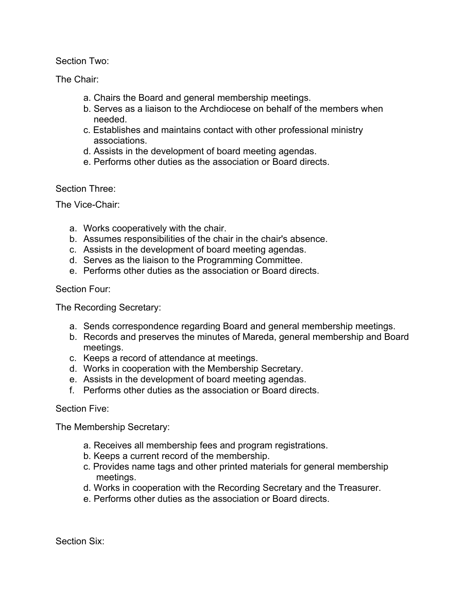Section Two:

The Chair:

- a. Chairs the Board and general membership meetings.
- b. Serves as a liaison to the Archdiocese on behalf of the members when needed.
- c. Establishes and maintains contact with other professional ministry associations.
- d. Assists in the development of board meeting agendas.
- e. Performs other duties as the association or Board directs.

### Section Three:

The Vice-Chair:

- a. Works cooperatively with the chair.
- b. Assumes responsibilities of the chair in the chair's absence.
- c. Assists in the development of board meeting agendas.
- d. Serves as the liaison to the Programming Committee.
- e. Performs other duties as the association or Board directs.

### Section Four:

The Recording Secretary:

- a. Sends correspondence regarding Board and general membership meetings.
- b. Records and preserves the minutes of Mareda, general membership and Board meetings.
- c. Keeps a record of attendance at meetings.
- d. Works in cooperation with the Membership Secretary.
- e. Assists in the development of board meeting agendas.
- f. Performs other duties as the association or Board directs.

### Section Five:

The Membership Secretary:

- a. Receives all membership fees and program registrations.
- b. Keeps a current record of the membership.
- c. Provides name tags and other printed materials for general membership meetings.
- d. Works in cooperation with the Recording Secretary and the Treasurer.
- e. Performs other duties as the association or Board directs.

Section Six: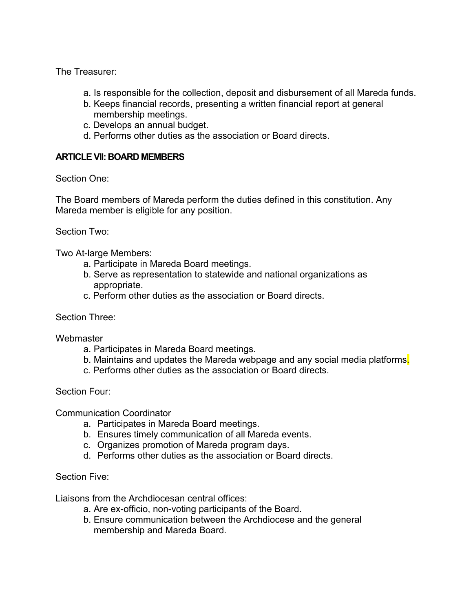The Treasurer:

- a. Is responsible for the collection, deposit and disbursement of all Mareda funds.
- b. Keeps financial records, presenting a written financial report at general membership meetings.
- c. Develops an annual budget.
- d. Performs other duties as the association or Board directs.

### **ARTICLE VII: BOARD MEMBERS**

Section One:

The Board members of Mareda perform the duties defined in this constitution. Any Mareda member is eligible for any position.

Section Two:

Two At-large Members:

- a. Participate in Mareda Board meetings.
- b. Serve as representation to statewide and national organizations as appropriate.
- c. Perform other duties as the association or Board directs.

Section Three:

**Webmaster** 

- a. Participates in Mareda Board meetings.
- b. Maintains and updates the Mareda webpage and any social media platforms.
- c. Performs other duties as the association or Board directs.

Section Four:

Communication Coordinator

- a. Participates in Mareda Board meetings.
- b. Ensures timely communication of all Mareda events.
- c. Organizes promotion of Mareda program days.
- d. Performs other duties as the association or Board directs.

### Section Five:

Liaisons from the Archdiocesan central offices:

- a. Are ex-officio, non-voting participants of the Board.
- b. Ensure communication between the Archdiocese and the general membership and Mareda Board.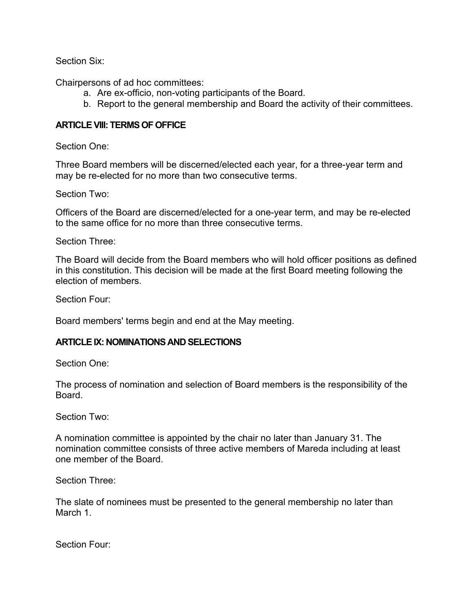Section Six:

Chairpersons of ad hoc committees:

- a. Are ex-officio, non-voting participants of the Board.
- b. Report to the general membership and Board the activity of their committees.

# **ARTICLE VIII: TERMS OF OFFICE**

Section One:

Three Board members will be discerned/elected each year, for a three-year term and may be re-elected for no more than two consecutive terms.

Section Two:

Officers of the Board are discerned/elected for a one-year term, and may be re-elected to the same office for no more than three consecutive terms.

Section Three:

The Board will decide from the Board members who will hold officer positions as defined in this constitution. This decision will be made at the first Board meeting following the election of members.

Section Four:

Board members' terms begin and end at the May meeting.

## **ARTICLE IX: NOMINATIONS AND SELECTIONS**

Section One:

The process of nomination and selection of Board members is the responsibility of the Board.

Section Two:

A nomination committee is appointed by the chair no later than January 31. The nomination committee consists of three active members of Mareda including at least one member of the Board.

Section Three:

The slate of nominees must be presented to the general membership no later than March 1.

Section Four: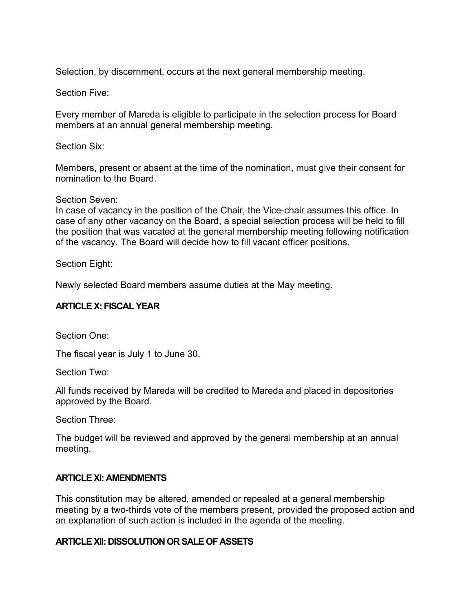Selection, by discernment, occurs at the next general membership meeting.

Section Five:

Every member of Mareda is eligible to participate in the selection process for Board members at an annual general membership meeting.

Section Six:

Members, present or absent at the time of the nomination, must give their consent for nomination to the Board.

Section Seven:

In case of vacancy in the position of the Chair, the Vice-chair assumes this office. In case of any other vacancy on the Board, a special selection process will be held to fill the position that was vacated at the general membership meeting following notification of the vacancy. The Board will decide how to fill vacant officer positions.

Section Eight:

Newly selected Board members assume duties at the May meeting.

### **ARTICLE X: FISCAL YEAR**

Section One:

The fiscal year is July 1 to June 30.

Section Two:

All funds received by Mareda will be credited to Mareda and placed in depositories approved by the Board.

Section Three:

The budget will be reviewed and approved by the general membership at an annual meeting.

### **ARTICLE XI: AMENDMENTS**

This constitution may be altered, amended or repealed at a general membership meeting by a two-thirds vote of the members present, provided the proposed action and an explanation of such action is included in the agenda of the meeting.

### **ARTICLE XII: DISSOLUTION OR SALE OF ASSETS**